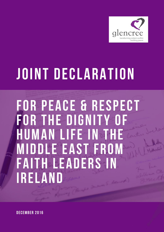

## **Joint Declaration**

**for Peace & Respect for the dignity of human life in the Middle East from Faith Leaders in Ireland**

**December 2016**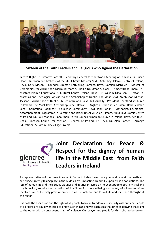

**Sixteen of the Faith Leaders and Religious who signed the Declaration**

**Left to Right**: Fr. Timothy Bartlett - Secretary General for the World Meeting of Families, Dr. Susan Hood - Librarian and Archivist of the RCB Library, Mr Siraj Zaidi - Ahlul Bayt Islamic Centre of Ireland, Revd. Gary Mason – Founder/Director Rethinking Conflict, Revd. Damien McNeice – Master of Ceremonies for Archbishop Diarmuid Martin, Sheikh Dr. Umar Al-Qadri – Ameer/Head Imam - Al-Mustafa Islamic Educational & Cultural Centre Ireland, Revd. Dr. William Olhausen – Rector, St. Matthias and Theological Advisor to the Archbishop of Dublin, The Most Revd. Archbishop Michael Jackson – Archbishop of Dublin, Church of Ireland, Revd. Bill Mullally – President – Methodist Church in Ireland, The Most Revd. Archbishop Suheil Dawani – Anglican Bishop in Jerusalem, Rabbi Zalman Lent – Communal Rabbi for Irish Jewish Community, Revd. John Parkin – Methodist, Ecumenical Accompaniment Programme in Palestine and Israel, Dr. Ali Al-Saleh – Imam, Ahlul Bayt Islamic Centre of Ireland, Dr. Paul Manook – Chairman, Parish Council Armenian Church in Ireland, Revd. Ken Rue – Chair, Diocesan Council for Mission – Church of Ireland, Rt. Revd. Dr. Alan Harper – Armagh Educational & Community Village Project.



**Joint Declaration for Peace & Respect for the dignity of human life in the Middle East from Faith Leaders in Ireland** 

As representatives of the three Abrahamic Faiths in Ireland, we share grief and pain at the death and suffering currently taking place in the Middle East, impacting dreadfully upon civilian populations. The loss of human life and the serious wounds and injuries inflicted on innocent people both physical and psychological, require the cessation of hostilities for the wellbeing and safety of all communities involved. We collectively pray for an end to all the violence and loss of life and for peace throughout the region.

It is both the aspiration and the right of all people to live in freedom and security without fear. People of all faiths are equally entitled to enjoy such things and yet each sees the other as denying that right to the other with a consequent spiral of violence. Our prayer and plea is for this spiral to be broken